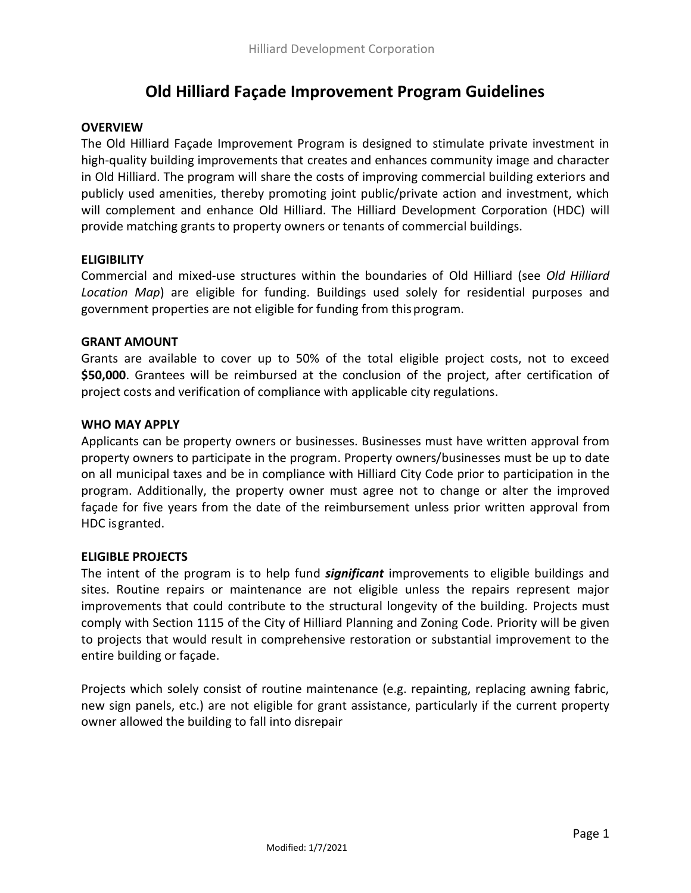# **Old Hilliard Façade Improvement Program Guidelines**

# **OVERVIEW**

The Old Hilliard Façade Improvement Program is designed to stimulate private investment in high-quality building improvements that creates and enhances community image and character in Old Hilliard. The program will share the costs of improving commercial building exteriors and publicly used amenities, thereby promoting joint public/private action and investment, which will complement and enhance Old Hilliard. The Hilliard Development Corporation (HDC) will provide matching grants to property owners or tenants of commercial buildings.

# **ELIGIBILITY**

Commercial and mixed-use structures within the boundaries of Old Hilliard (see *Old Hilliard Location Map*) are eligible for funding. Buildings used solely for residential purposes and government properties are not eligible for funding from this program.

## **GRANT AMOUNT**

Grants are available to cover up to 50% of the total eligible project costs, not to exceed **\$50,000**. Grantees will be reimbursed at the conclusion of the project, after certification of project costs and verification of compliance with applicable city regulations.

#### **WHO MAY APPLY**

Applicants can be property owners or businesses. Businesses must have written approval from property owners to participate in the program. Property owners/businesses must be up to date on all municipal taxes and be in compliance with Hilliard City Code prior to participation in the program. Additionally, the property owner must agree not to change or alter the improved façade for five years from the date of the reimbursement unless prior written approval from HDC isgranted.

## **ELIGIBLE PROJECTS**

The intent of the program is to help fund *significant* improvements to eligible buildings and sites. Routine repairs or maintenance are not eligible unless the repairs represent major improvements that could contribute to the structural longevity of the building. Projects must comply with Section 1115 of the City of Hilliard Planning and Zoning Code. Priority will be given to projects that would result in comprehensive restoration or substantial improvement to the entire building or façade.

Projects which solely consist of routine maintenance (e.g. repainting, replacing awning fabric, new sign panels, etc.) are not eligible for grant assistance, particularly if the current property owner allowed the building to fall into disrepair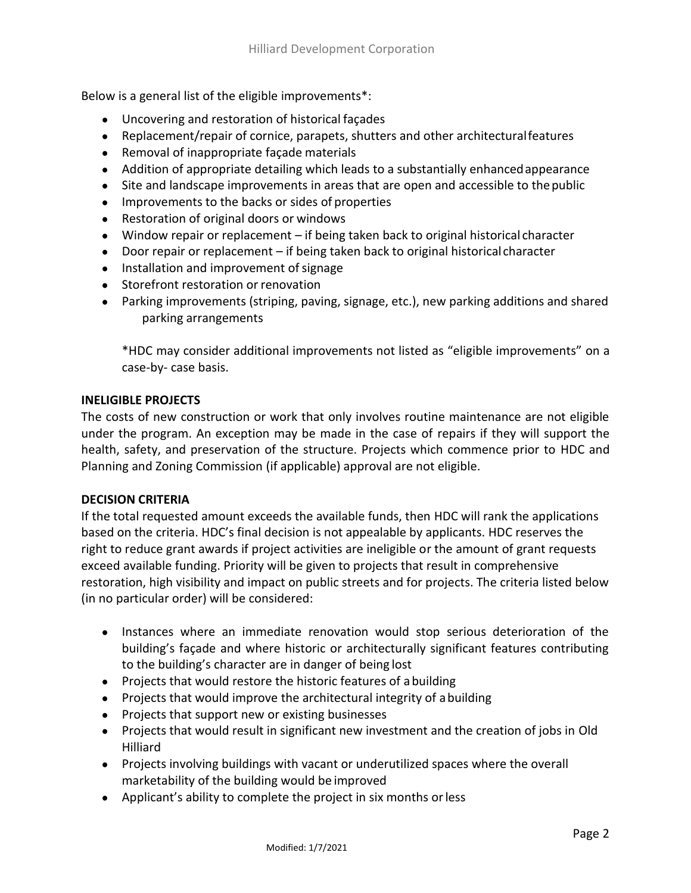Below is a general list of the eligible improvements\*:

- Uncovering and restoration of historical façades
- Replacement/repair of cornice, parapets, shutters and other architecturalfeatures
- Removal of inappropriate façade materials
- Addition of appropriate detailing which leads to a substantially enhanced appearance
- Site and landscape improvements in areas that are open and accessible to thepublic
- Improvements to the backs or sides of properties
- Restoration of original doors or windows
- Window repair or replacement if being taken back to original historical character
- Door repair or replacement if being taken back to original historical character
- Installation and improvement of signage
- Storefront restoration or renovation
- Parking improvements (striping, paving, signage, etc.), new parking additions and shared parking arrangements

\*HDC may consider additional improvements not listed as "eligible improvements" on a case-by- case basis.

#### **INELIGIBLE PROJECTS**

The costs of new construction or work that only involves routine maintenance are not eligible under the program. An exception may be made in the case of repairs if they will support the health, safety, and preservation of the structure. Projects which commence prior to HDC and Planning and Zoning Commission (if applicable) approval are not eligible.

## **DECISION CRITERIA**

If the total requested amount exceeds the available funds, then HDC will rank the applications based on the criteria. HDC's final decision is not appealable by applicants. HDC reserves the right to reduce grant awards if project activities are ineligible or the amount of grant requests exceed available funding. Priority will be given to projects that result in comprehensive restoration, high visibility and impact on public streets and for projects. The criteria listed below (in no particular order) will be considered:

- Instances where an immediate renovation would stop serious deterioration of the building's façade and where historic or architecturally significant features contributing to the building's character are in danger of being lost
- Projects that would restore the historic features of abuilding
- Projects that would improve the architectural integrity of abuilding
- Projects that support new or existing businesses
- Projects that would result in significant new investment and the creation of jobs in Old Hilliard
- Projects involving buildings with vacant or underutilized spaces where the overall marketability of the building would be improved
- Applicant's ability to complete the project in six months orless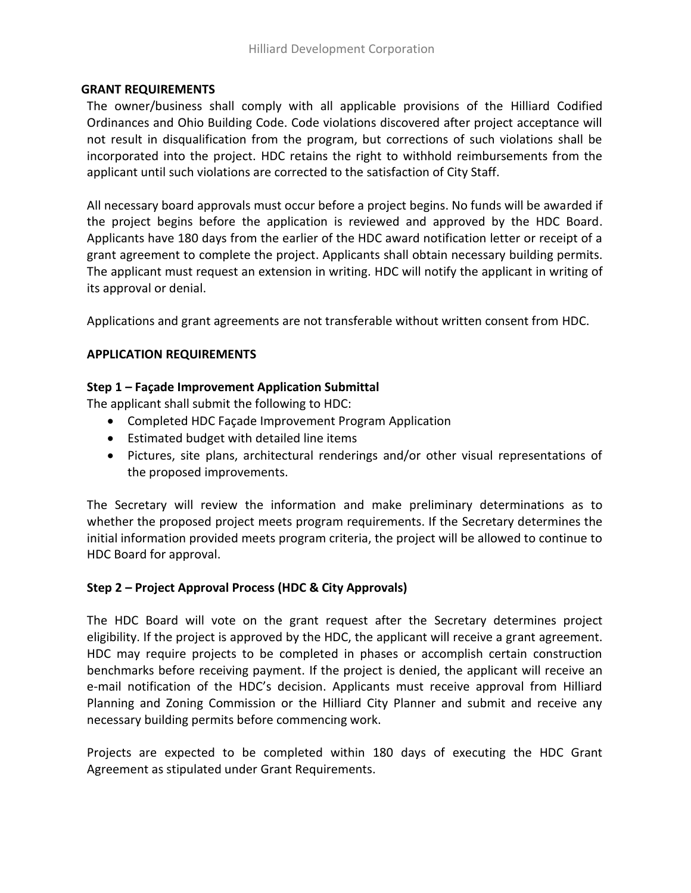#### **GRANT REQUIREMENTS**

The owner/business shall comply with all applicable provisions of the Hilliard Codified Ordinances and Ohio Building Code. Code violations discovered after project acceptance will not result in disqualification from the program, but corrections of such violations shall be incorporated into the project. HDC retains the right to withhold reimbursements from the applicant until such violations are corrected to the satisfaction of City Staff.

All necessary board approvals must occur before a project begins. No funds will be awarded if the project begins before the application is reviewed and approved by the HDC Board. Applicants have 180 days from the earlier of the HDC award notification letter or receipt of a grant agreement to complete the project. Applicants shall obtain necessary building permits. The applicant must request an extension in writing. HDC will notify the applicant in writing of its approval or denial.

Applications and grant agreements are not transferable without written consent from HDC.

# **APPLICATION REQUIREMENTS**

# **Step 1 – Façade Improvement Application Submittal**

The applicant shall submit the following to HDC:

- Completed HDC Façade Improvement Program Application
- Estimated budget with detailed line items
- Pictures, site plans, architectural renderings and/or other visual representations of the proposed improvements.

The Secretary will review the information and make preliminary determinations as to whether the proposed project meets program requirements. If the Secretary determines the initial information provided meets program criteria, the project will be allowed to continue to HDC Board for approval.

## **Step 2 – Project Approval Process (HDC & City Approvals)**

The HDC Board will vote on the grant request after the Secretary determines project eligibility. If the project is approved by the HDC, the applicant will receive a grant agreement. HDC may require projects to be completed in phases or accomplish certain construction benchmarks before receiving payment. If the project is denied, the applicant will receive an e-mail notification of the HDC's decision. Applicants must receive approval from Hilliard Planning and Zoning Commission or the Hilliard City Planner and submit and receive any necessary building permits before commencing work.

Projects are expected to be completed within 180 days of executing the HDC Grant Agreement as stipulated under Grant Requirements.